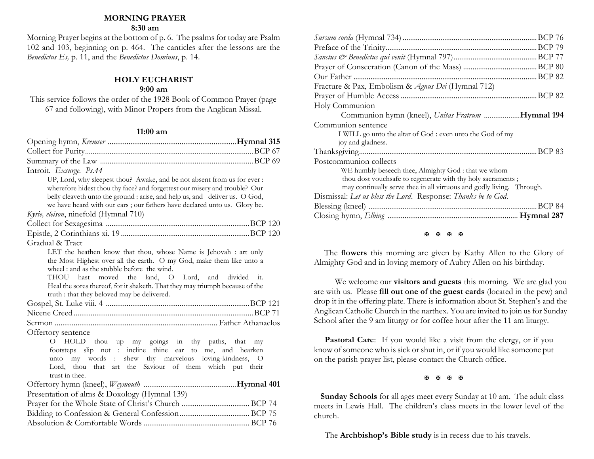## **MORNING PRAYER**

## **8:30 am**

Morning Prayer begins at the bottom of p. 6. The psalms for today are Psalm 102 and 103, beginning on p. 464. The canticles after the lessons are the *Benedictus Es,* p. 11, and the *Benedictus Dominus*, p. 14.

## **HOLY EUCHARIST**

## **9:00 am**

This service follows the order of the 1928 Book of Common Prayer (page 67 and following), with Minor Propers from the Anglican Missal.

## **11:00 am**

| Introit. Exsurge. Ps.44                                                                            |    |
|----------------------------------------------------------------------------------------------------|----|
| UP, Lord, why sleepest thou? Awake, and be not absent from us for ever :                           |    |
| wherefore hidest thou thy face? and forgettest our misery and trouble? Our                         |    |
| belly cleaveth unto the ground : arise, and help us, and deliver us. O God,                        |    |
| we have heard with our ears; our fathers have declared unto us. Glory be.                          |    |
| Kyrie, eleison, ninefold (Hymnal 710)                                                              |    |
|                                                                                                    |    |
|                                                                                                    |    |
| Gradual & Tract                                                                                    |    |
| LET the heathen know that thou, whose Name is Jehovah : art only                                   |    |
| the Most Highest over all the earth. O my God, make them like unto a                               |    |
| wheel: and as the stubble before the wind.<br>moved the land, O Lord, and divided it.<br>THOU hast |    |
| Heal the sores thereof, for it shaketh. That they may triumph because of the                       |    |
| truth : that they beloved may be delivered.                                                        |    |
|                                                                                                    |    |
|                                                                                                    |    |
|                                                                                                    |    |
| Offertory sentence                                                                                 |    |
| O HOLD thou up my goings in thy paths, that                                                        | my |
| footsteps slip not : incline thine ear to me, and hearken                                          |    |
| my words : shew thy marvelous loving-kindness, O<br>unto                                           |    |
| Lord, thou that art the Saviour of them which put their                                            |    |
| trust in thee.                                                                                     |    |
|                                                                                                    |    |
| Presentation of alms & Doxology (Hymnal 139)                                                       |    |
|                                                                                                    |    |
|                                                                                                    |    |
|                                                                                                    |    |
|                                                                                                    |    |

| Fracture & Pax, Embolism & Agnus Dei (Hymnal 712)                     |         |
|-----------------------------------------------------------------------|---------|
|                                                                       |         |
| Holy Communion                                                        |         |
| Communion hymn (kneel), Unitas Fratrum Hymnal 194                     |         |
| Communion sentence                                                    |         |
| I WILL go unto the altar of God : even unto the God of my             |         |
| joy and gladness.                                                     |         |
|                                                                       |         |
| Postcommunion collects                                                |         |
| WE humbly beseech thee, Almighty God : that we whom                   |         |
| thou dost vouchsafe to regenerate with thy holy sacraments;           |         |
| may continually serve thee in all virtuous and godly living. Through. |         |
| Dismissal: Let us bless the Lord. Response: Thanks be to God.         |         |
|                                                                       | .BCP 84 |
|                                                                       |         |
|                                                                       |         |

#### 图图图图

The **flowers** this morning are given by Kathy Allen to the Glory of Almighty God and in loving memory of Aubry Allen on his birthday.

 We welcome our **visitors and guests** this morning. We are glad you are with us. Please **fill out one of the guest cards** (located in the pew) and drop it in the offering plate. There is information about St. Stephen's and the Anglican Catholic Church in the narthex. You are invited to join us for Sunday School after the 9 am liturgy or for coffee hour after the 11 am liturgy.

**Pastoral Care:** If you would like a visit from the clergy, or if you know of someone who is sick or shut in, or if you would like someone put on the parish prayer list, please contact the Church office.

#### 图图图图

 **Sunday Schools** for all ages meet every Sunday at 10 am. The adult class meets in Lewis Hall. The children's class meets in the lower level of the church.

The **Archbishop's Bible study** is in recess due to his travels.